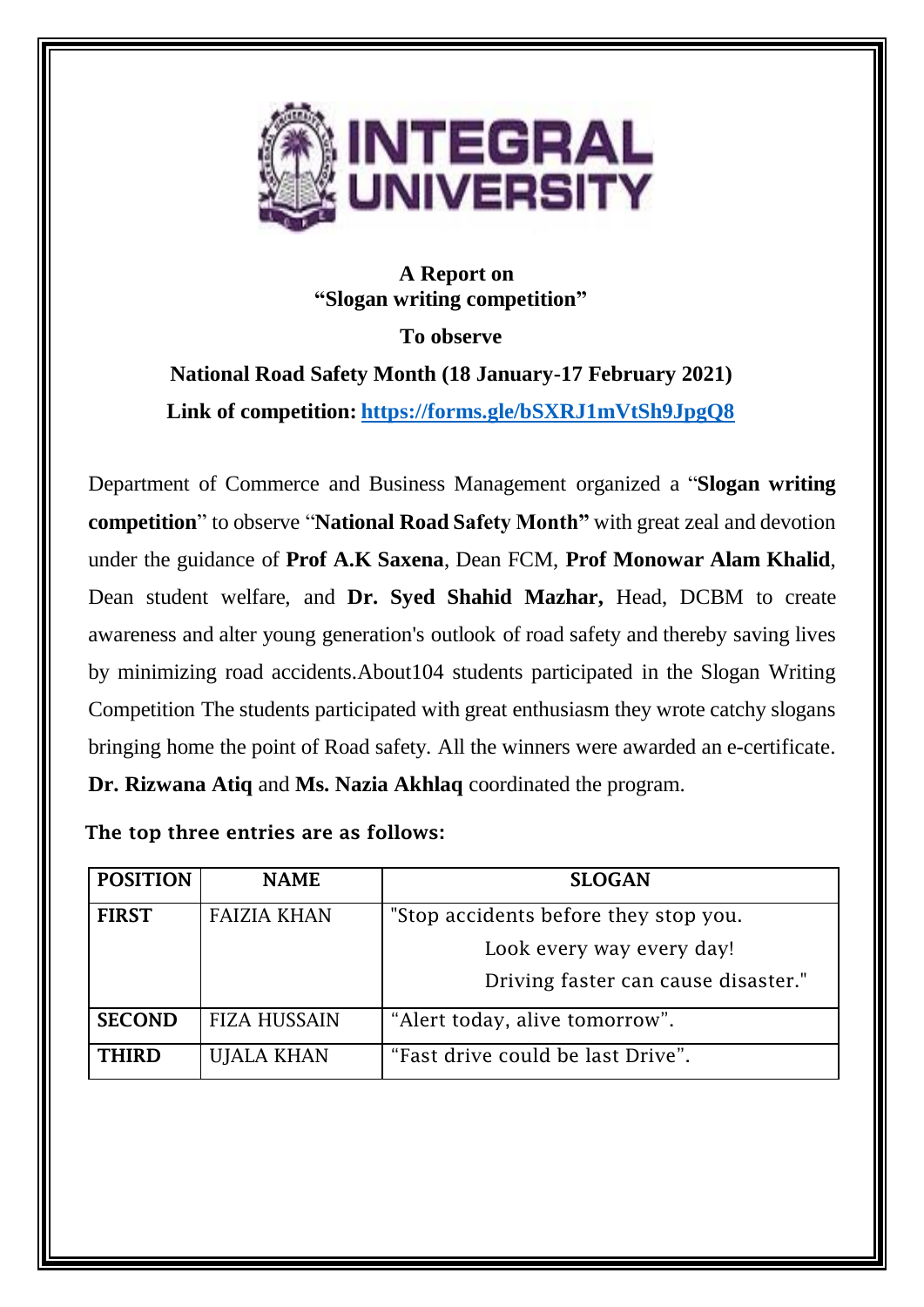

## **A Report on "Slogan writing competition"**

**To observe**

**National Road Safety Month (18 January-17 February 2021) Link of competition: <https://forms.gle/bSXRJ1mVtSh9JpgQ8>**

Department of Commerce and Business Management organized a "**Slogan writing competition**" to observe "**National Road Safety Month"** with great zeal and devotion under the guidance of **Prof A.K Saxena**, Dean FCM, **Prof Monowar Alam Khalid**, Dean student welfare, and **Dr. Syed Shahid Mazhar,** Head, DCBM to create awareness and alter young generation's outlook of road safety and thereby saving lives by minimizing road accidents.About104 students participated in the Slogan Writing Competition The students participated with great enthusiasm they wrote catchy slogans bringing home the point of Road safety. All the winners were awarded an e-certificate. **Dr. Rizwana Atiq** and **Ms. Nazia Akhlaq** coordinated the program.

The top three entries are as follows:

| <b>POSITION</b> | <b>NAME</b>         | <b>SLOGAN</b>                         |
|-----------------|---------------------|---------------------------------------|
| <b>FIRST</b>    | <b>FAIZIA KHAN</b>  | "Stop accidents before they stop you. |
|                 |                     | Look every way every day!             |
|                 |                     | Driving faster can cause disaster."   |
| <b>SECOND</b>   | <b>FIZA HUSSAIN</b> | "Alert today, alive tomorrow".        |
| <b>THIRD</b>    | <b>UJALA KHAN</b>   | "Fast drive could be last Drive".     |